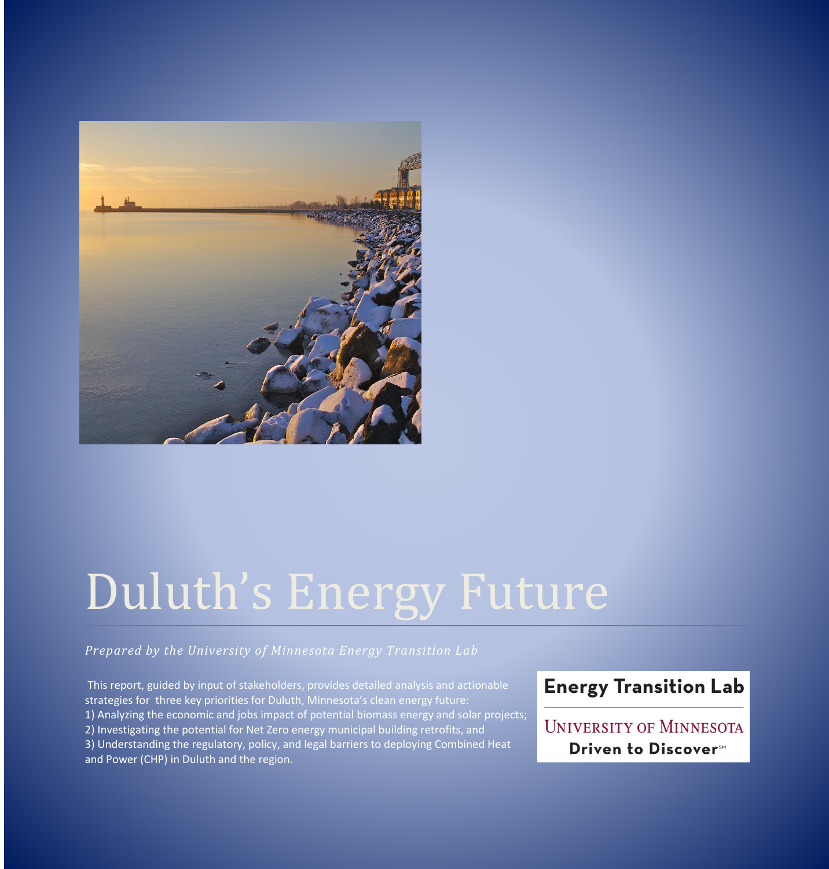

# Duluth's Energy Future

*Prepared by the University of Minnesota Energy Transition Lab*

This report, guided by input of stakeholders, provides detailed analysis and actionable strategies for three key priorities for Duluth, Minnesota's clean energy future: 1) Analyzing the economic and jobs impact of potential biomass energy and solar projects; 2) Investigating the potential for Net Zero energy municipal building retrofits, and 3) Understanding the regulatory, policy, and legal barriers to deploying Combined Heat and Power (CHP) in Duluth and the region.

# **Energy Transition Lab**

**UNIVERSITY OF MINNESOTA** Driven to Discover<sup>5M</sup>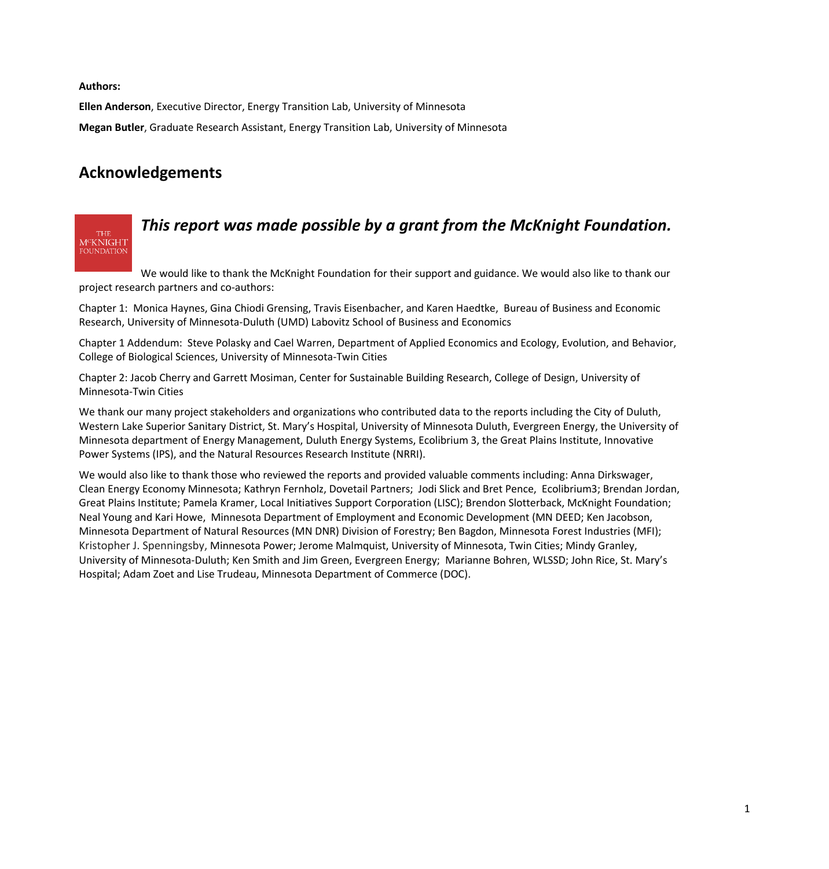**Authors:**

**THE** M<sup>C</sup>KNIGHT

**Ellen Anderson**, Executive Director, Energy Transition Lab, University of Minnesota **Megan Butler**, Graduate Research Assistant, Energy Transition Lab, University of Minnesota

## **Acknowledgements**

# *This report was made possible by a grant from the McKnight Foundation.*

We would like to thank the McKnight Foundation for their support and guidance. We would also like to thank our project research partners and co-authors:

Chapter 1: Monica Haynes, Gina Chiodi Grensing, Travis Eisenbacher, and Karen Haedtke, Bureau of Business and Economic Research, University of Minnesota-Duluth (UMD) Labovitz School of Business and Economics

Chapter 1 Addendum: Steve Polasky and Cael Warren, Department of Applied Economics and Ecology, Evolution, and Behavior, College of Biological Sciences, University of Minnesota-Twin Cities

Chapter 2: Jacob Cherry and Garrett Mosiman, Center for Sustainable Building Research, College of Design, University of Minnesota-Twin Cities

We thank our many project stakeholders and organizations who contributed data to the reports including the City of Duluth, Western Lake Superior Sanitary District, St. Mary's Hospital, University of Minnesota Duluth, Evergreen Energy, the University of Minnesota department of Energy Management, Duluth Energy Systems, Ecolibrium 3, the Great Plains Institute, Innovative Power Systems (IPS), and the Natural Resources Research Institute (NRRI).

We would also like to thank those who reviewed the reports and provided valuable comments including: Anna Dirkswager, Clean Energy Economy Minnesota; Kathryn Fernholz, Dovetail Partners; Jodi Slick and Bret Pence, Ecolibrium3; Brendan Jordan, Great Plains Institute; Pamela Kramer, Local Initiatives Support Corporation (LISC); Brendon Slotterback, McKnight Foundation; Neal Young and Kari Howe, Minnesota Department of Employment and Economic Development (MN DEED; Ken Jacobson, Minnesota Department of Natural Resources (MN DNR) Division of Forestry; Ben Bagdon, Minnesota Forest Industries (MFI); Kristopher J. Spenningsby, Minnesota Power; Jerome Malmquist, University of Minnesota, Twin Cities; Mindy Granley, University of Minnesota-Duluth; Ken Smith and Jim Green, Evergreen Energy; Marianne Bohren, WLSSD; John Rice, St. Mary's Hospital; Adam Zoet and Lise Trudeau, Minnesota Department of Commerce (DOC).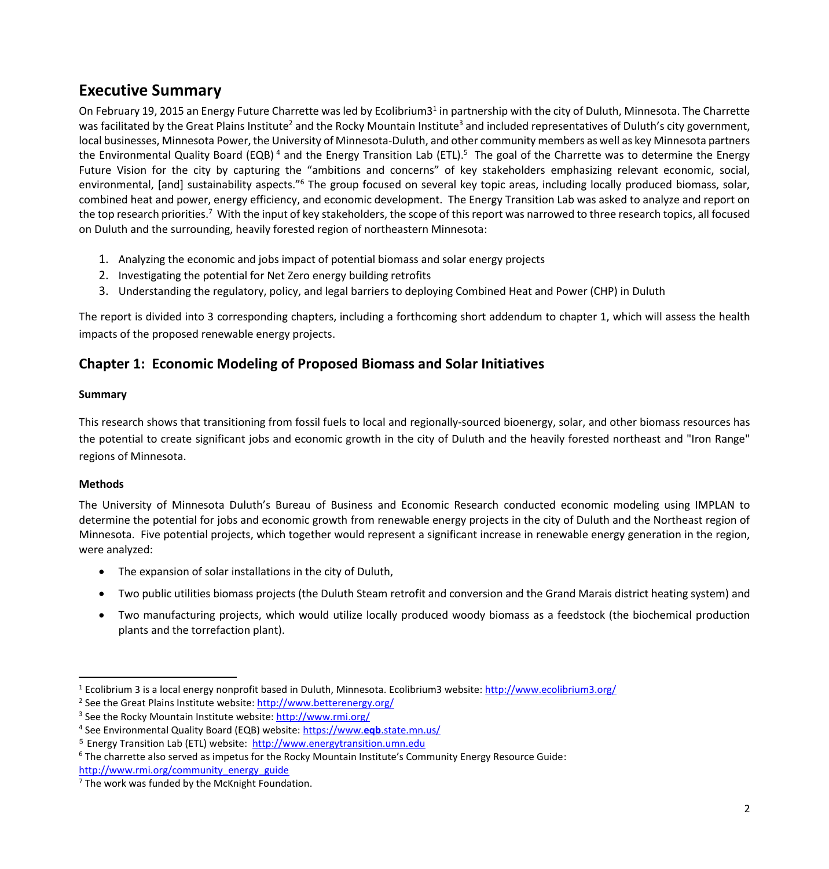## **Executive Summary**

On February 19, 2015 an Energy Future Charrette was led by Ecolibrium3<sup>1</sup> in partnership with the city of Duluth, Minnesota. The Charrette was facilitated by the Great Plains Institute<sup>2</sup> and the Rocky Mountain Institute<sup>3</sup> and included representatives of Duluth's city government, local businesses, Minnesota Power, the University of Minnesota-Duluth, and other community members as well as key Minnesota partners the Environmental Quality Board (EQB)<sup>4</sup> and the Energy Transition Lab (ETL).<sup>5</sup> The goal of the Charrette was to determine the Energy Future Vision for the city by capturing the "ambitions and concerns" of key stakeholders emphasizing relevant economic, social, environmental, [and] sustainability aspects."<sup>6</sup> The group focused on several key topic areas, including locally produced biomass, solar, combined heat and power, energy efficiency, and economic development. The Energy Transition Lab was asked to analyze and report on the top research priorities.<sup>7</sup> With the input of key stakeholders, the scope of this report was narrowed to three research topics, all focused on Duluth and the surrounding, heavily forested region of northeastern Minnesota:

- 1. Analyzing the economic and jobs impact of potential biomass and solar energy projects
- 2. Investigating the potential for Net Zero energy building retrofits
- 3. Understanding the regulatory, policy, and legal barriers to deploying Combined Heat and Power (CHP) in Duluth

The report is divided into 3 corresponding chapters, including a forthcoming short addendum to chapter 1, which will assess the health impacts of the proposed renewable energy projects.

## **Chapter 1: Economic Modeling of Proposed Biomass and Solar Initiatives**

## **Summary**

This research shows that transitioning from fossil fuels to local and regionally-sourced bioenergy, solar, and other biomass resources has the potential to create significant jobs and economic growth in the city of Duluth and the heavily forested northeast and "Iron Range" regions of Minnesota.

## **Methods**

 $\overline{a}$ 

The University of Minnesota Duluth's Bureau of Business and Economic Research conducted economic modeling using IMPLAN to determine the potential for jobs and economic growth from renewable energy projects in the city of Duluth and the Northeast region of Minnesota. Five potential projects, which together would represent a significant increase in renewable energy generation in the region, were analyzed:

- The expansion of solar installations in the city of Duluth,
- Two public utilities biomass projects (the Duluth Steam retrofit and conversion and the Grand Marais district heating system) and
- Two manufacturing projects, which would utilize locally produced woody biomass as a feedstock (the biochemical production plants and the torrefaction plant).

<sup>1</sup> Ecolibrium 3 is a local energy nonprofit based in Duluth, Minnesota. Ecolibrium3 website[: http://www.ecolibrium3.org/](http://www.ecolibrium3.org/)

<sup>&</sup>lt;sup>2</sup> See the Great Plains Institute website: http://www.betterenergy.org/

<sup>&</sup>lt;sup>3</sup> See the Rocky Mountain Institute website:<http://www.rmi.org/>

<sup>4</sup> See Environmental Quality Board (EQB) website: [https://www.](https://www.eqb.state.mn.us/)**eqb**.state.mn.us/

<sup>5</sup> Energy Transition Lab (ETL) website: [http://www.energytransition.umn.edu](http://www.energytransition.umn.edu/)

<sup>6</sup> The charrette also served as impetus for the Rocky Mountain Institute's Community Energy Resource Guide: [http://www.rmi.org/community\\_energy\\_guide](http://www.rmi.org/community_energy_guide)

 $7$  The work was funded by the McKnight Foundation.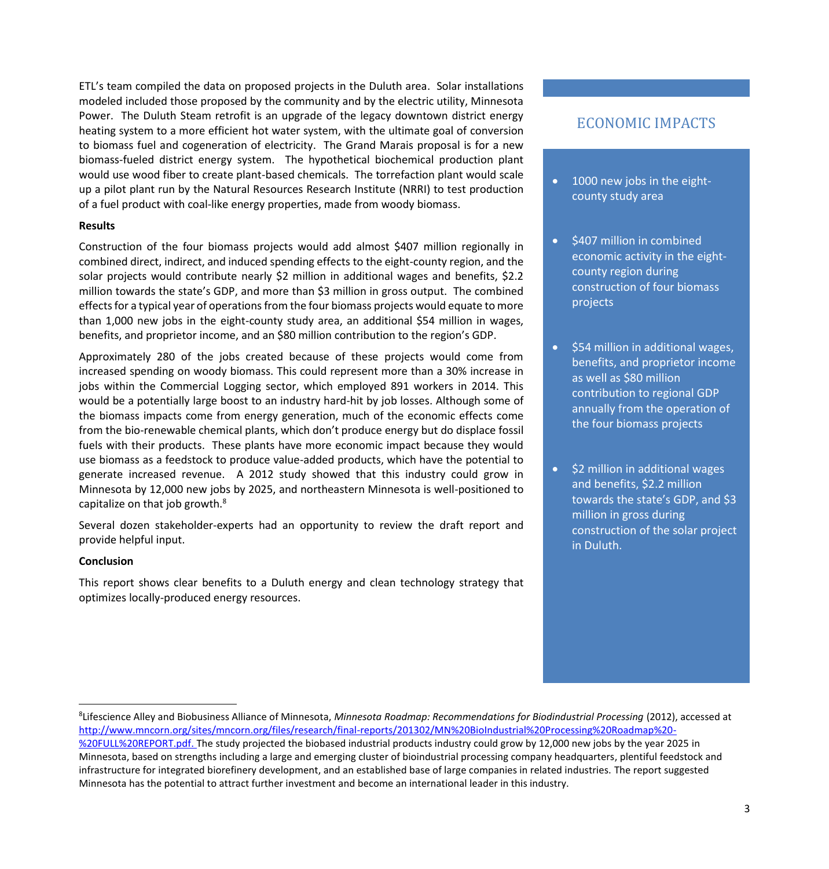ETL's team compiled the data on proposed projects in the Duluth area. Solar installations modeled included those proposed by the community and by the electric utility, Minnesota Power. The Duluth Steam retrofit is an upgrade of the legacy downtown district energy heating system to a more efficient hot water system, with the ultimate goal of conversion to biomass fuel and cogeneration of electricity. The Grand Marais proposal is for a new biomass-fueled district energy system. The hypothetical biochemical production plant would use wood fiber to create plant-based chemicals. The torrefaction plant would scale up a pilot plant run by the Natural Resources Research Institute (NRRI) to test production of a fuel product with coal-like energy properties, made from woody biomass.

#### **Results**

Construction of the four biomass projects would add almost \$407 million regionally in combined direct, indirect, and induced spending effects to the eight-county region, and the solar projects would contribute nearly \$2 million in additional wages and benefits, \$2.2 million towards the state's GDP, and more than \$3 million in gross output. The combined effects for a typical year of operations from the four biomass projects would equate to more than 1,000 new jobs in the eight-county study area, an additional \$54 million in wages, benefits, and proprietor income, and an \$80 million contribution to the region's GDP.

Approximately 280 of the jobs created because of these projects would come from increased spending on woody biomass. This could represent more than a 30% increase in jobs within the Commercial Logging sector, which employed 891 workers in 2014. This would be a potentially large boost to an industry hard-hit by job losses. Although some of the biomass impacts come from energy generation, much of the economic effects come from the bio-renewable chemical plants, which don't produce energy but do displace fossil fuels with their products. These plants have more economic impact because they would use biomass as a feedstock to produce value-added products, which have the potential to generate increased revenue. A 2012 study showed that this industry could grow in Minnesota by 12,000 new jobs by 2025, and northeastern Minnesota is well-positioned to capitalize on that job growth.<sup>8</sup>

Several dozen stakeholder-experts had an opportunity to review the draft report and provide helpful input.

#### **Conclusion**

 $\overline{\phantom{a}}$ 

This report shows clear benefits to a Duluth energy and clean technology strategy that optimizes locally-produced energy resources.

## ECONOMIC IMPACTS

- 1000 new jobs in the eightcounty study area
- \$407 million in combined economic activity in the eightcounty region during construction of four biomass projects
- $\bullet$  \$54 million in additional wages, benefits, and proprietor income as well as \$80 million contribution to regional GDP annually from the operation of the four biomass projects
- $\bullet$  \$2 million in additional wages and benefits, \$2.2 million towards the state's GDP, and \$3 million in gross during construction of the solar project in Duluth.

<sup>8</sup> Lifescience Alley and Biobusiness Alliance of Minnesota, *Minnesota Roadmap: Recommendations for Biodindustrial Processing* (2012), accessed at [http://www.mncorn.org/sites/mncorn.org/files/research/final-reports/201302/MN%20BioIndustrial%20Processing%20Roadmap%20-](http://www.mncorn.org/sites/mncorn.org/files/research/final-reports/201302/MN%20BioIndustrial%20Processing%20Roadmap%20-%20FULL%20REPORT.pdf)

[<sup>%20</sup>FULL%20REPORT.pdf.](http://www.mncorn.org/sites/mncorn.org/files/research/final-reports/201302/MN%20BioIndustrial%20Processing%20Roadmap%20-%20FULL%20REPORT.pdf) The study projected the biobased industrial products industry could grow by 12,000 new jobs by the year 2025 in Minnesota, based on strengths including a large and emerging cluster of bioindustrial processing company headquarters, plentiful feedstock and infrastructure for integrated biorefinery development, and an established base of large companies in related industries. The report suggested Minnesota has the potential to attract further investment and become an international leader in this industry.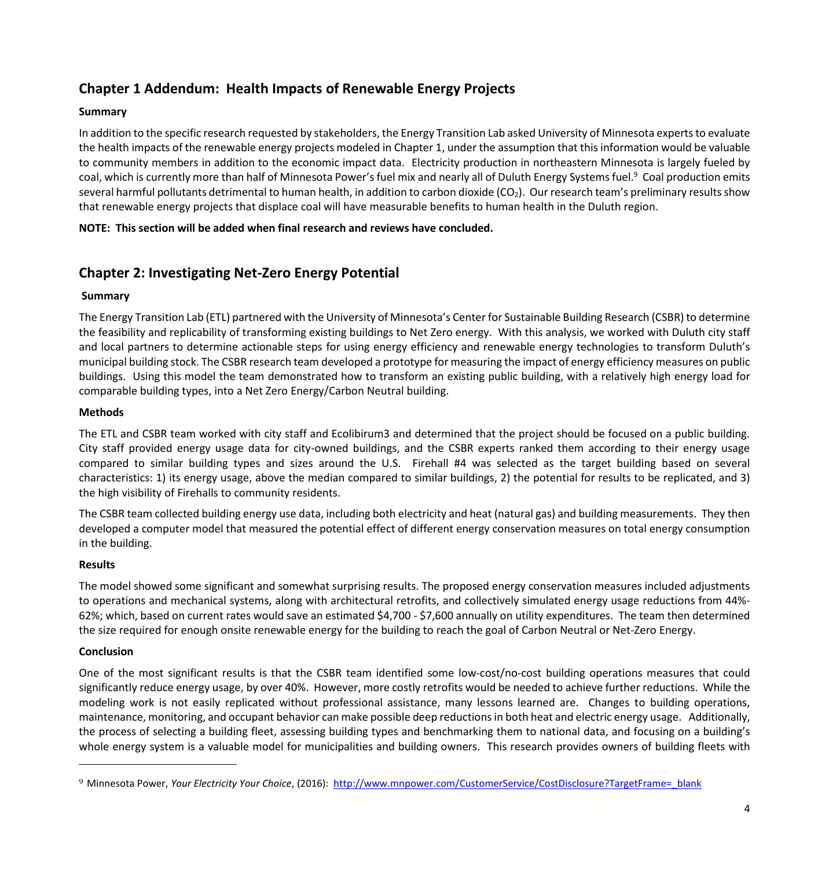## **Chapter 1 Addendum: Health Impacts of Renewable Energy Projects**

## **Summary**

In addition to the specific research requested by stakeholders, the Energy Transition Lab asked University of Minnesota experts to evaluate the health impacts of the renewable energy projects modeled in Chapter 1, under the assumption that this information would be valuable to community members in addition to the economic impact data. Electricity production in northeastern Minnesota is largely fueled by coal, which is currently more than half of Minnesota Power's fuel mix and nearly all of Duluth Energy Systems fuel.<sup>9</sup> Coal production emits several harmful pollutants detrimental to human health, in addition to carbon dioxide ( $CO<sub>2</sub>$ ). Our research team's preliminary results show that renewable energy projects that displace coal will have measurable benefits to human health in the Duluth region.

#### **NOTE: This section will be added when final research and reviews have concluded.**

## **Chapter 2: Investigating Net-Zero Energy Potential**

#### **Summary**

The Energy Transition Lab (ETL) partnered with the University of Minnesota's Center for Sustainable Building Research (CSBR) to determine the feasibility and replicability of transforming existing buildings to Net Zero energy. With this analysis, we worked with Duluth city staff and local partners to determine actionable steps for using energy efficiency and renewable energy technologies to transform Duluth's municipal building stock. The CSBR research team developed a prototype for measuring the impact of energy efficiency measures on public buildings. Using this model the team demonstrated how to transform an existing public building, with a relatively high energy load for comparable building types, into a Net Zero Energy/Carbon Neutral building.

#### **Methods**

The ETL and CSBR team worked with city staff and Ecolibirum3 and determined that the project should be focused on a public building. City staff provided energy usage data for city-owned buildings, and the CSBR experts ranked them according to their energy usage compared to similar building types and sizes around the U.S. Firehall #4 was selected as the target building based on several characteristics: 1) its energy usage, above the median compared to similar buildings, 2) the potential for results to be replicated, and 3) the high visibility of Firehalls to community residents.

The CSBR team collected building energy use data, including both electricity and heat (natural gas) and building measurements. They then developed a computer model that measured the potential effect of different energy conservation measures on total energy consumption in the building.

#### **Results**

The model showed some significant and somewhat surprising results. The proposed energy conservation measures included adjustments to operations and mechanical systems, along with architectural retrofits, and collectively simulated energy usage reductions from 44%- 62%; which, based on current rates would save an estimated \$4,700 - \$7,600 annually on utility expenditures. The team then determined the size required for enough onsite renewable energy for the building to reach the goal of Carbon Neutral or Net-Zero Energy.

#### **Conclusion**

 $\overline{a}$ 

One of the most significant results is that the CSBR team identified some low-cost/no-cost building operations measures that could significantly reduce energy usage, by over 40%. However, more costly retrofits would be needed to achieve further reductions. While the modeling work is not easily replicated without professional assistance, many lessons learned are. Changes to building operations, maintenance, monitoring, and occupant behavior can make possible deep reductions in both heat and electric energy usage. Additionally, the process of selecting a building fleet, assessing building types and benchmarking them to national data, and focusing on a building's whole energy system is a valuable model for municipalities and building owners. This research provides owners of building fleets with

<sup>9</sup> Minnesota Power, *Your Electricity Your Choice*, (2016): http://www.mnpower.com/CustomerService/CostDisclosure?TargetFrame= blank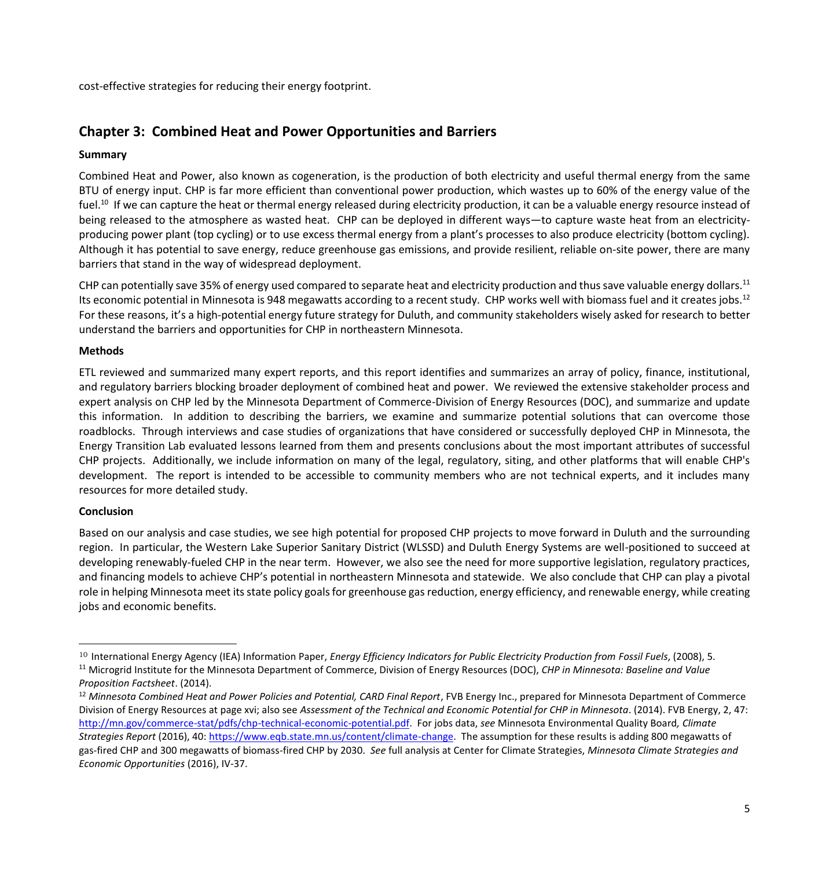cost-effective strategies for reducing their energy footprint.

## **Chapter 3: Combined Heat and Power Opportunities and Barriers**

#### **Summary**

Combined Heat and Power, also known as cogeneration, is the production of both electricity and useful thermal energy from the same BTU of energy input. CHP is far more efficient than conventional power production, which wastes up to 60% of the energy value of the fuel.<sup>10</sup> If we can capture the heat or thermal energy released during electricity production, it can be a valuable energy resource instead of being released to the atmosphere as wasted heat. CHP can be deployed in different ways—to capture waste heat from an electricityproducing power plant (top cycling) or to use excess thermal energy from a plant's processes to also produce electricity (bottom cycling). Although it has potential to save energy, reduce greenhouse gas emissions, and provide resilient, reliable on-site power, there are many barriers that stand in the way of widespread deployment.

CHP can potentially save 35% of energy used compared to separate heat and electricity production and thus save valuable energy dollars.<sup>11</sup> Its economic potential in Minnesota is 948 megawatts according to a recent study. CHP works well with biomass fuel and it creates jobs.<sup>12</sup> For these reasons, it's a high-potential energy future strategy for Duluth, and community stakeholders wisely asked for research to better understand the barriers and opportunities for CHP in northeastern Minnesota.

#### **Methods**

ETL reviewed and summarized many expert reports, and this report identifies and summarizes an array of policy, finance, institutional, and regulatory barriers blocking broader deployment of combined heat and power. We reviewed the extensive stakeholder process and expert analysis on CHP led by the Minnesota Department of Commerce-Division of Energy Resources (DOC), and summarize and update this information. In addition to describing the barriers, we examine and summarize potential solutions that can overcome those roadblocks. Through interviews and case studies of organizations that have considered or successfully deployed CHP in Minnesota, the Energy Transition Lab evaluated lessons learned from them and presents conclusions about the most important attributes of successful CHP projects. Additionally, we include information on many of the legal, regulatory, siting, and other platforms that will enable CHP's development. The report is intended to be accessible to community members who are not technical experts, and it includes many resources for more detailed study.

#### **Conclusion**

 $\overline{a}$ 

Based on our analysis and case studies, we see high potential for proposed CHP projects to move forward in Duluth and the surrounding region. In particular, the Western Lake Superior Sanitary District (WLSSD) and Duluth Energy Systems are well-positioned to succeed at developing renewably-fueled CHP in the near term. However, we also see the need for more supportive legislation, regulatory practices, and financing models to achieve CHP's potential in northeastern Minnesota and statewide. We also conclude that CHP can play a pivotal role in helping Minnesota meet its state policy goals for greenhouse gas reduction, energy efficiency, and renewable energy, while creating jobs and economic benefits.

<sup>&</sup>lt;sup>10</sup> International Energy Agency (IEA) Information Paper, *Energy Efficiency Indicators for Public Electricity Production from Fossil Fuels*, (2008), 5. <sup>11</sup> Microgrid Institute for the Minnesota Department of Commerce, Division of Energy Resources (DOC), *CHP in Minnesota: Baseline and Value Proposition Factsheet*. (2014).

<sup>&</sup>lt;sup>12</sup> Minnesota Combined Heat and Power Policies and Potential, CARD Final Report, FVB Energy Inc., prepared for Minnesota Department of Commerce Division of Energy Resources at page xvi; also see *Assessment of the Technical and Economic Potential for CHP in Minnesota*. (2014). FVB Energy, 2, 47: [http://mn.gov/commerce-stat/pdfs/chp-technical-economic-potential.pdf.](http://mn.gov/commerce-stat/pdfs/chp-technical-economic-potential.pdf) For jobs data, *see* Minnesota Environmental Quality Board*, Climate Strategies Report* (2016), 40[: https://www.eqb.state.mn.us/content/climate-change.](https://www.eqb.state.mn.us/content/climate-change) The assumption for these results is adding 800 megawatts of gas-fired CHP and 300 megawatts of biomass-fired CHP by 2030. *See* full analysis at Center for Climate Strategies, *Minnesota Climate Strategies and Economic Opportunities* (2016), IV-37.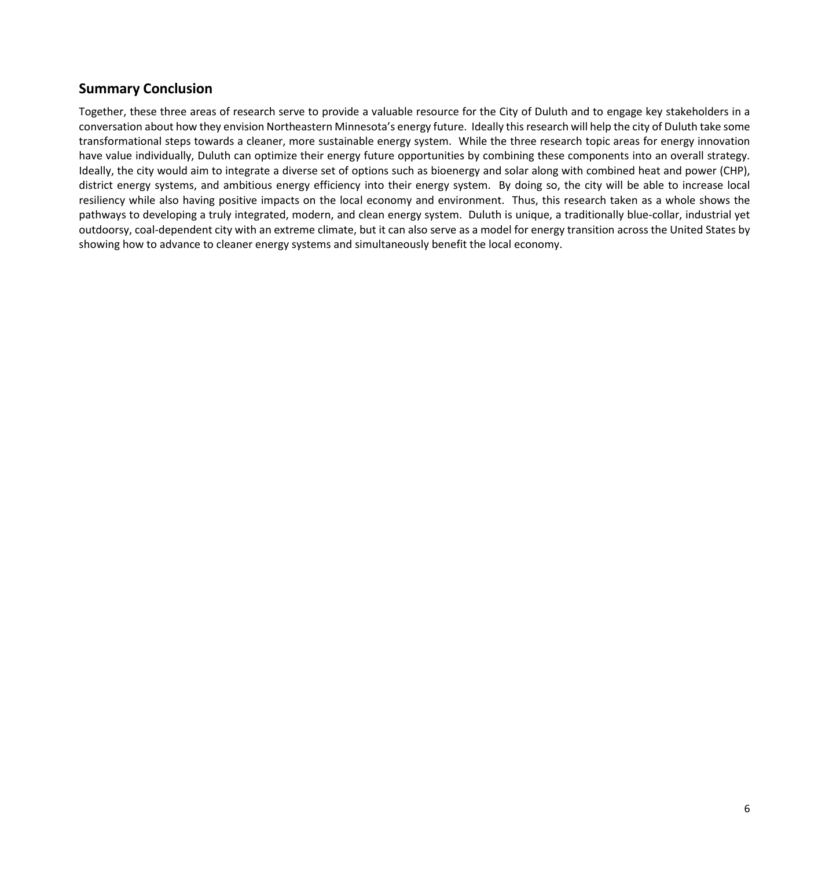## **Summary Conclusion**

Together, these three areas of research serve to provide a valuable resource for the City of Duluth and to engage key stakeholders in a conversation about how they envision Northeastern Minnesota's energy future. Ideally this research will help the city of Duluth take some transformational steps towards a cleaner, more sustainable energy system. While the three research topic areas for energy innovation have value individually, Duluth can optimize their energy future opportunities by combining these components into an overall strategy. Ideally, the city would aim to integrate a diverse set of options such as bioenergy and solar along with combined heat and power (CHP), district energy systems, and ambitious energy efficiency into their energy system. By doing so, the city will be able to increase local resiliency while also having positive impacts on the local economy and environment. Thus, this research taken as a whole shows the pathways to developing a truly integrated, modern, and clean energy system. Duluth is unique, a traditionally blue-collar, industrial yet outdoorsy, coal-dependent city with an extreme climate, but it can also serve as a model for energy transition across the United States by showing how to advance to cleaner energy systems and simultaneously benefit the local economy.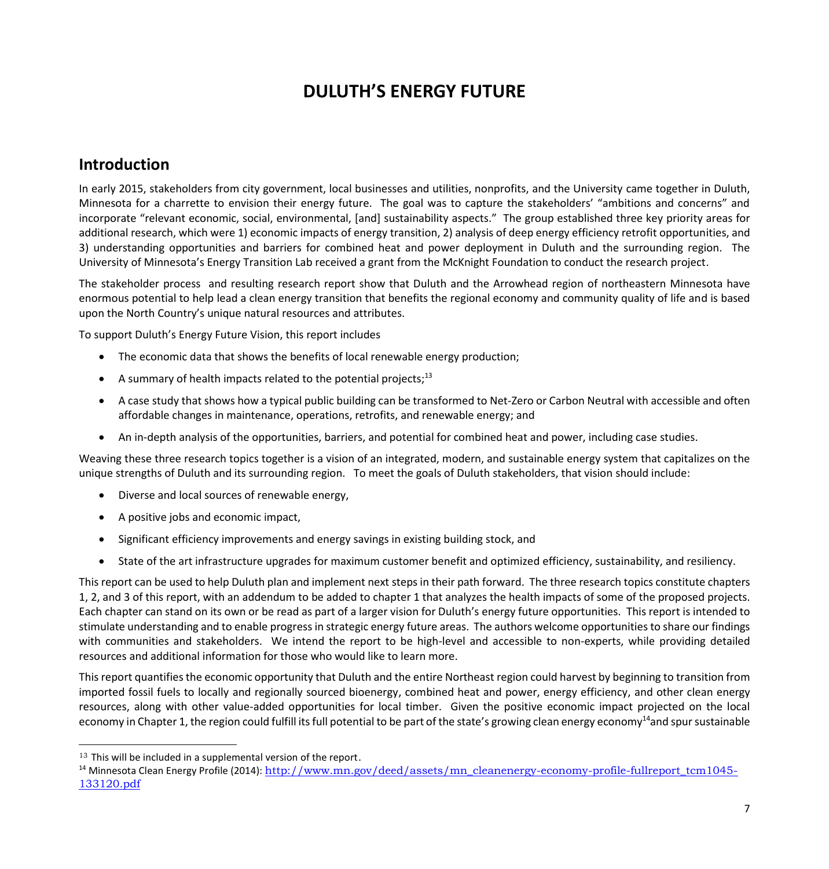# **DULUTH'S ENERGY FUTURE**

## **Introduction**

In early 2015, stakeholders from city government, local businesses and utilities, nonprofits, and the University came together in Duluth, Minnesota for a charrette to envision their energy future. The goal was to capture the stakeholders' "ambitions and concerns" and incorporate "relevant economic, social, environmental, [and] sustainability aspects." The group established three key priority areas for additional research, which were 1) economic impacts of energy transition, 2) analysis of deep energy efficiency retrofit opportunities, and 3) understanding opportunities and barriers for combined heat and power deployment in Duluth and the surrounding region. The University of Minnesota's Energy Transition Lab received a grant from the McKnight Foundation to conduct the research project.

The stakeholder process and resulting research report show that Duluth and the Arrowhead region of northeastern Minnesota have enormous potential to help lead a clean energy transition that benefits the regional economy and community quality of life and is based upon the North Country's unique natural resources and attributes.

To support Duluth's Energy Future Vision, this report includes

- The economic data that shows the benefits of local renewable energy production;
- A summary of health impacts related to the potential projects; $13$
- A case study that shows how a typical public building can be transformed to Net-Zero or Carbon Neutral with accessible and often affordable changes in maintenance, operations, retrofits, and renewable energy; and
- An in-depth analysis of the opportunities, barriers, and potential for combined heat and power, including case studies.

Weaving these three research topics together is a vision of an integrated, modern, and sustainable energy system that capitalizes on the unique strengths of Duluth and its surrounding region. To meet the goals of Duluth stakeholders, that vision should include:

- Diverse and local sources of renewable energy,
- A positive jobs and economic impact,
- Significant efficiency improvements and energy savings in existing building stock, and
- State of the art infrastructure upgrades for maximum customer benefit and optimized efficiency, sustainability, and resiliency.

This report can be used to help Duluth plan and implement next steps in their path forward. The three research topics constitute chapters 1, 2, and 3 of this report, with an addendum to be added to chapter 1 that analyzes the health impacts of some of the proposed projects. Each chapter can stand on its own or be read as part of a larger vision for Duluth's energy future opportunities. This report is intended to stimulate understanding and to enable progress in strategic energy future areas. The authors welcome opportunities to share our findings with communities and stakeholders. We intend the report to be high-level and accessible to non-experts, while providing detailed resources and additional information for those who would like to learn more.

This report quantifies the economic opportunity that Duluth and the entire Northeast region could harvest by beginning to transition from imported fossil fuels to locally and regionally sourced bioenergy, combined heat and power, energy efficiency, and other clean energy resources, along with other value-added opportunities for local timber. Given the positive economic impact projected on the local economy in Chapter 1, the region could fulfill its full potential to be part of the state's growing clean energy economy<sup>14</sup>and spur sustainable

 $\overline{a}$ 

<sup>&</sup>lt;sup>13</sup> This will be included in a supplemental version of the report.

<sup>&</sup>lt;sup>14</sup> Minnesota Clean Energy Profile (2014): [http://www.mn.gov/deed/assets/mn\\_cleanenergy-economy-profile-fullreport\\_tcm1045-](http://www.mn.gov/deed/assets/mn_cleanenergy-economy-profile-fullreport_tcm1045-133120.pdf) [133120.pdf](http://www.mn.gov/deed/assets/mn_cleanenergy-economy-profile-fullreport_tcm1045-133120.pdf)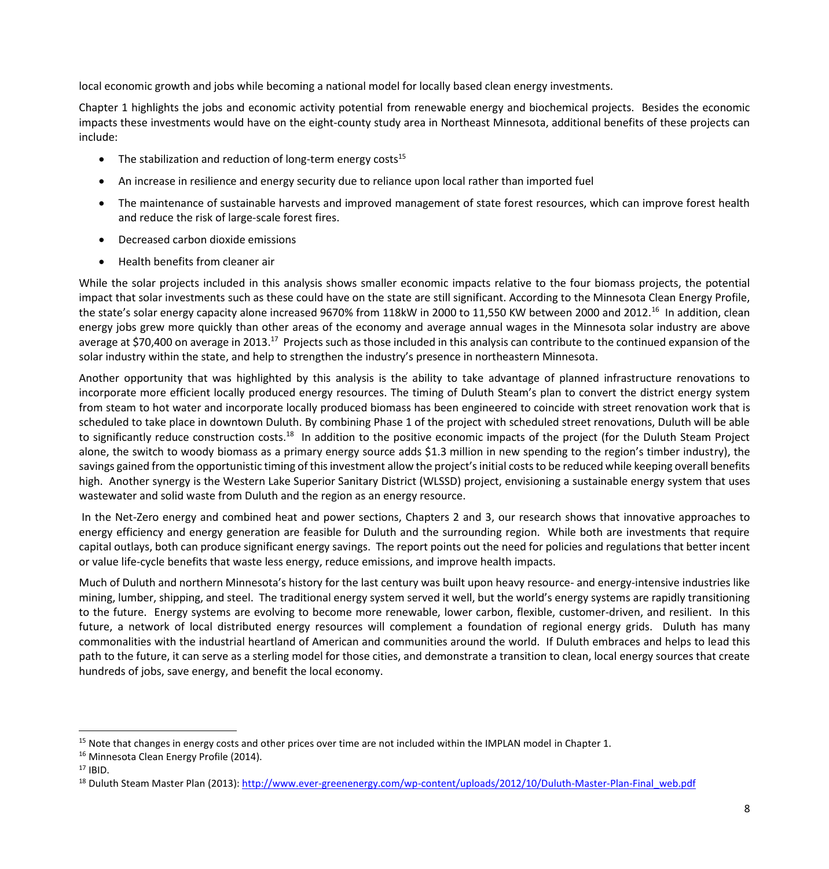local economic growth and jobs while becoming a national model for locally based clean energy investments.

Chapter 1 highlights the jobs and economic activity potential from renewable energy and biochemical projects. Besides the economic impacts these investments would have on the eight-county study area in Northeast Minnesota, additional benefits of these projects can include:

- $\bullet$  The stabilization and reduction of long-term energy costs<sup>15</sup>
- An increase in resilience and energy security due to reliance upon local rather than imported fuel
- The maintenance of sustainable harvests and improved management of state forest resources, which can improve forest health and reduce the risk of large-scale forest fires.
- Decreased carbon dioxide emissions
- Health benefits from cleaner air

While the solar projects included in this analysis shows smaller economic impacts relative to the four biomass projects, the potential impact that solar investments such as these could have on the state are still significant. According to the Minnesota Clean Energy Profile, the state's solar energy capacity alone increased 9670% from 118kW in 2000 to 11,550 KW between 2000 and 2012.<sup>16</sup> In addition, clean energy jobs grew more quickly than other areas of the economy and average annual wages in the Minnesota solar industry are above average at \$70,400 on average in 2013.<sup>17</sup> Projects such as those included in this analysis can contribute to the continued expansion of the solar industry within the state, and help to strengthen the industry's presence in northeastern Minnesota.

Another opportunity that was highlighted by this analysis is the ability to take advantage of planned infrastructure renovations to incorporate more efficient locally produced energy resources. The timing of Duluth Steam's plan to convert the district energy system from steam to hot water and incorporate locally produced biomass has been engineered to coincide with street renovation work that is scheduled to take place in downtown Duluth. By combining Phase 1 of the project with scheduled street renovations, Duluth will be able to significantly reduce construction costs.<sup>18</sup> In addition to the positive economic impacts of the project (for the Duluth Steam Project alone, the switch to woody biomass as a primary energy source adds \$1.3 million in new spending to the region's timber industry), the savings gained from the opportunistic timing of this investment allow the project's initial costs to be reduced while keeping overall benefits high. Another synergy is the Western Lake Superior Sanitary District (WLSSD) project, envisioning a sustainable energy system that uses wastewater and solid waste from Duluth and the region as an energy resource.

In the Net-Zero energy and combined heat and power sections, Chapters 2 and 3, our research shows that innovative approaches to energy efficiency and energy generation are feasible for Duluth and the surrounding region. While both are investments that require capital outlays, both can produce significant energy savings. The report points out the need for policies and regulations that better incent or value life-cycle benefits that waste less energy, reduce emissions, and improve health impacts.

Much of Duluth and northern Minnesota's history for the last century was built upon heavy resource- and energy-intensive industries like mining, lumber, shipping, and steel. The traditional energy system served it well, but the world's energy systems are rapidly transitioning to the future. Energy systems are evolving to become more renewable, lower carbon, flexible, customer-driven, and resilient. In this future, a network of local distributed energy resources will complement a foundation of regional energy grids. Duluth has many commonalities with the industrial heartland of American and communities around the world. If Duluth embraces and helps to lead this path to the future, it can serve as a sterling model for those cities, and demonstrate a transition to clean, local energy sources that create hundreds of jobs, save energy, and benefit the local economy.

 $\overline{\phantom{a}}$ 

<sup>&</sup>lt;sup>15</sup> Note that changes in energy costs and other prices over time are not included within the IMPLAN model in Chapter 1.

<sup>&</sup>lt;sup>16</sup> Minnesota Clean Energy Profile (2014).

 $17$  IBID.

<sup>&</sup>lt;sup>18</sup> Duluth Steam Master Plan (2013): [http://www.ever-greenenergy.com/wp-content/uploads/2012/10/Duluth-Master-Plan-Final\\_web.pdf](http://www.ever-greenenergy.com/wp-content/uploads/2012/10/Duluth-Master-Plan-Final_web.pdf)